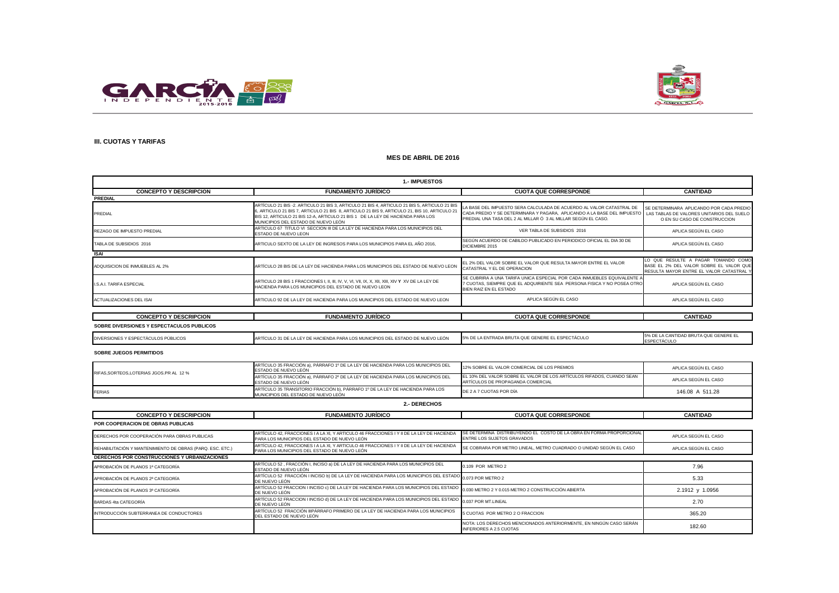



## **III. CUOTAS Y TARIFAS**

### **MES DE ABRIL DE 2016**

| <b>1.- IMPUESTOS</b>                      |                                                                                                                                                                                                                                                                                                                       |                                                                                                                                                                                                                                                            |                                                                                                                            |
|-------------------------------------------|-----------------------------------------------------------------------------------------------------------------------------------------------------------------------------------------------------------------------------------------------------------------------------------------------------------------------|------------------------------------------------------------------------------------------------------------------------------------------------------------------------------------------------------------------------------------------------------------|----------------------------------------------------------------------------------------------------------------------------|
| <b>CONCEPTO Y DESCRIPCION</b>             | <b>FUNDAMENTO JURÍDICO</b>                                                                                                                                                                                                                                                                                            | <b>CUOTA QUE CORRESPONDE</b>                                                                                                                                                                                                                               | <b>CANTIDAD</b>                                                                                                            |
| <b>PREDIAL</b>                            |                                                                                                                                                                                                                                                                                                                       |                                                                                                                                                                                                                                                            |                                                                                                                            |
| PREDIAL                                   | ARTÍCULO 21 BIS -2. ARTICULO 21 BIS 3, ARTICULO 21 BIS 4, ARTICULO 21 BIS 5, ARTICULO 21 BIS<br>5, ARTICULO 21 BIS 7, ARTICULO 21 BIS 8, ARTICULO 21 BIS 9, ARTICULO 21, BIS 10, ARTICULO 21<br>BIS 12, ARTICULO 21 BIS 12-A, ARTICULO 21 BIS 1 DE LA LEY DE HACIENDA PARA LOS<br>MUNICIPIOS DEL ESTADO DE NUEVO LEÓN | LA BASE DEL IMPUESTO SERA CALCULADA DE ACUERDO AL VALOR CATASTRAL DE<br>CADA PREDIO Y SE DETERMINARA Y PAGARA, APLICANDO A LA BASE DEL IMPUESTO LAS TABLAS DE VALORES UNITARIOS DEL SUELO<br>PREDIAL UNA TASA DEL 2 AL MILLAR Ó 3 AL MILLAR SEGÚN EL CASO. | SE DETERMINARA APLICANDO POR CADA PREDIO<br>O EN SU CASO DE CONSTRUCCION                                                   |
| REZAGO DE IMPUESTO PREDIAL                | ARTICULO 67 TITULO VI SECCION III DE LA LEY DE HACIENDA PARA LOS MUNICIPIOS DEL<br>ESTADO DE NUEVO LEON                                                                                                                                                                                                               | VER TABLA DE SUBSIDIOS 2016                                                                                                                                                                                                                                | APLICA SEGÚN EL CASO                                                                                                       |
| TABLA DE SUBSIDIOS 2016                   | ARTICULO SEXTO DE LA LEY DE INGRESOS PARA LOS MUNICIPIOS PARA EL AÑO 2016,                                                                                                                                                                                                                                            | SEGÚN ACUERDO DE CABILDO PUBLICADO EN PERIODICO OFICIAL EL DIA 30 DE<br>DICIEMBRE 2015                                                                                                                                                                     | APLICA SEGÚN EL CASO                                                                                                       |
| <b>ISAI</b>                               |                                                                                                                                                                                                                                                                                                                       |                                                                                                                                                                                                                                                            |                                                                                                                            |
| ADQUISICION DE INMUEBLES AL 2%            | ARTÍCULO 28 BIS DE LA LEY DE HACIENDA PARA LOS MUNICIPIOS DEL ESTADO DE NUEVO LEON                                                                                                                                                                                                                                    | EL 2% DEL VALOR SOBRE EL VALOR QUE RESULTA MAYOR ENTRE EL VALOR<br>CATASTRAL Y EL DE OPERACION                                                                                                                                                             | LO QUE RESULTE A PAGAR TOMANDO COMO<br>BASE EL 2% DEL VALOR SOBRE EL VALOR QUE<br>RESULTA MAYOR ENTRE EL VALOR CATASTRAL Y |
| <b>LS.A.L TARIFA ESPECIAL</b>             | HACIENDA PARA LOS MUNICIPIOS DEL ESTADO DE NUEVO LEON                                                                                                                                                                                                                                                                 | SE CUBRIRA A UNA TARIFA UNICA ESPECIAL POR CADA INMUEBLES EQUIVALENTE A<br>7 CUOTAS. SIEMPRE QUE EL ADQUIRIENTE SEA PERSONA FISICA Y NO POSEA OTRO<br>BIEN RAIZ EN EL ESTADO                                                                               | APLICA SEGÚN EL CASO                                                                                                       |
| ACTUALIZACIONES DEL ISAI                  | ARTICULO 92 DE LA LEY DE HACIENDA PARA LOS MUNICIPIOS DEL ESTADO DE NUEVO LEON                                                                                                                                                                                                                                        | APLICA SEGÚN EL CASO                                                                                                                                                                                                                                       | APLICA SEGÚN EL CASO                                                                                                       |
|                                           |                                                                                                                                                                                                                                                                                                                       |                                                                                                                                                                                                                                                            |                                                                                                                            |
| <b>CONCEPTO Y DESCRIPCION</b>             | <b>FUNDAMENTO JURÍDICO</b>                                                                                                                                                                                                                                                                                            | <b>CUOTA QUE CORRESPONDE</b>                                                                                                                                                                                                                               | <b>CANTIDAD</b>                                                                                                            |
| SOBRE DIVERSIONES Y ESPECTACULOS PUBLICOS |                                                                                                                                                                                                                                                                                                                       |                                                                                                                                                                                                                                                            |                                                                                                                            |

| <b>DIVERSIO</b><br>LUS PUDLIUUS. | . NUEVO LEON<br>ан з<br><b>PARA LUS MI</b><br>AUIENDA I<br>.<br>. | $-$<br>: LA EN IKADA<br><b>PRILLE</b><br>- 1070 L<br>-ט וחטטבע | '' '' |
|----------------------------------|-------------------------------------------------------------------|----------------------------------------------------------------|-------|

#### **SOBRE JUEGOS PERMITIDOS**

| RIFAS.SORTEOS.LOTERIAS JGOS.PR AL 12 % | ARTÍCULO 35 FRACCIÓN a), PÁRRAFO 1º DE LA LEY DE HACIENDA PARA LOS MUNICIPIOS DEL<br>ESTADO DE NUEVO LEÓN             | 12% SOBRE EL VALOR COMERCIAL DE LOS PREMIOS                                                                | APLICA SEGÚN EL CASO |
|----------------------------------------|-----------------------------------------------------------------------------------------------------------------------|------------------------------------------------------------------------------------------------------------|----------------------|
|                                        | ARTÍCULO 35 FRACCIÓN a). PÁRRAFO 2º DE LA LEY DE HACIENDA PARA LOS MUNICIPIOS DEL<br>ESTADO DE NUEVO LEÓN             | EL 10% DEL VALOR SOBRE EL VALOR DE LOS ARTÍCULOS RIFADOS. CUANDO SEAN<br>ARTÍCULOS DE PROPAGANDA COMERCIAL | APLICA SEGÚN EL CASO |
| <b>FERIAS</b>                          | ARTÍCULO 35 TRANSITORIO FRACCIÓN b). PÁRRAFO 1º DE LA LEY DE HACIENDA PARA LOS<br>MUNICIPIOS DEL ESTADO DE NUEVO LEÓN | DE 2 A 7 CUOTAS POR DÍA                                                                                    | 146.08 A 511.28      |

| 2.- DERECHOS |
|--------------|
|--------------|

| <b>CONCEPTO Y DESCRIPCION</b>                             | <b>FUNDAMENTO JURÍDICO</b>                                                                                                                                | <b>CUOTA QUE CORRESPONDE</b>                                                                         | <b>CANTIDAD</b>      |
|-----------------------------------------------------------|-----------------------------------------------------------------------------------------------------------------------------------------------------------|------------------------------------------------------------------------------------------------------|----------------------|
| POR COOPERACION DE OBRAS PUBLICAS                         |                                                                                                                                                           |                                                                                                      |                      |
| DERECHOS POR COOPERACIÓN PARA OBRAS PUBLICAS              | ARTÍCULO 42. FRACCIONES I A LA XI. Y ARTICULO 46 FRACCIONES I Y II DE LA LEY DE HACIENDA<br>PARA LOS MUNICIPIOS DEL ESTADO DE NUEVO LEÓN                  | SE DETERMINA DISTRIBUYENDO EL COSTO DE LA OBRA EN FORMA PROPORCIONAL<br>ENTRE LOS SUJETOS GRAVADOS   | APLICA SEGÚN EL CASO |
| REHABILITACIÓN Y MANTENIMIENTO DE OBRAS (PARQ. ESC. ETC.) | ARTÍCULO 42, FRACCIONES I A LA XI, Y ARTÍCULO 46 FRACCIONES I Y II DE LA LEY DE HACIENDA<br>PARA LOS MUNICIPIOS DEL ESTADO DE NUEVO LEÓN                  | SE COBRARA POR METRO LINEAL, METRO CUADRADO O UNIDAD SEGÚN EL CASO                                   | APLICA SEGÚN EL CASO |
| <b>DERECHOS POR CONSTRUCCIONES Y URBANIZACIONES</b>       |                                                                                                                                                           |                                                                                                      |                      |
| APROBACIÓN DE PLANOS 1ª CATEGORÍA                         | ARTÍCULO 52, FRACCIÓN I, INCISO a) DE LA LEY DE HACIENDA PARA LOS MUNICIPIOS DEL<br>ESTADO DE NUEVO LEÓN                                                  | 0.109 POR METRO 2                                                                                    | 7.96                 |
| APROBACIÓN DE PLANOS 2ª CATEGORÍA                         | ARTÍCULO 52 FRACCIÓN I INCISO b) DE LA LEY DE HACIENDA PARA LOS MUNICIPIOS DEL ESTADO 0.073 POR METRO 2<br>DE NUEVO LEÓN                                  |                                                                                                      | 5.33                 |
| APROBACIÓN DE PLANOS 3ª CATEGORÍA                         | ARTÍCULO 52 FRACCION I INCISO c) DE LA LEY DE HACIENDA PARA LOS MUNICIPIOS DEL ESTADO 0.030 METRO 2 Y 0.015 METRO 2 CONSTRUCCIÓN ABIERTA<br>DE NUEVO LEÓN |                                                                                                      | 2.1912 y 1.0956      |
| BARDAS 4ta CATEGORÍA                                      | ARTÍCULO 52 FRACCION I INCISO d) DE LA LEY DE HACIENDA PARA LOS MUNICIPIOS DEL ESTADO<br>DE NUEVO LEÓN                                                    | 0.037 POR MT.LINEAL                                                                                  | 2.70                 |
| INTRODUCCIÓN SUBTERRANEA DE CONDUCTORES                   | ARTÍCULO 52 FRACCIÓN IIIPÁRRAFO PRIMERO DE LA LEY DE HACIENDA PARA LOS MUNICIPIOS<br>DEL ESTADO DE NUEVO LEÓN                                             | 5 CUOTAS POR METRO 2 O FRACCION                                                                      | 365.20               |
|                                                           |                                                                                                                                                           | NOTA: LOS DERECHOS MENCIONADOS ANTERIORMENTE. EN NINGÚN CASO SERÁN<br><b>INFERIORES A 2.5 CUOTAS</b> | 182.60               |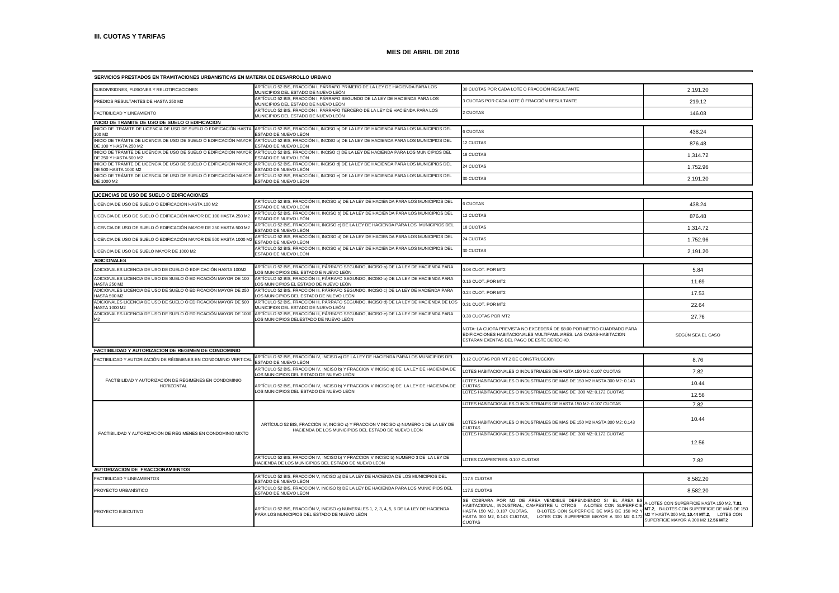| SERVICIOS PRESTADOS EN TRAMITACIONES URBANISTICAS EN MATERIA DE DESARROLLO URBANO          |                                                                                                                                             |                                                                                                                                                                                                                                                                                                   |                                                                                                                                                                            |
|--------------------------------------------------------------------------------------------|---------------------------------------------------------------------------------------------------------------------------------------------|---------------------------------------------------------------------------------------------------------------------------------------------------------------------------------------------------------------------------------------------------------------------------------------------------|----------------------------------------------------------------------------------------------------------------------------------------------------------------------------|
| SUBDIVISIONES, FUSIONES Y RELOTIFICACIONES                                                 | ARTÍCULO 52 BIS, FRACCIÓN I, PÁRRAFO PRIMERO DE LA LEY DE HACIENDA PARA LOS<br>MUNICIPIOS DEL ESTADO DE NUEVO LEÓN                          | 30 CUOTAS POR CADA LOTE Ó FRACCIÓN RESULTANTE                                                                                                                                                                                                                                                     | 2,191.20                                                                                                                                                                   |
| PREDIOS RESULTANTES DE HASTA 250 M2                                                        | ARTÍCULO 52 BIS, FRACCIÓN I, PÁRRAFO SEGUNDO DE LA LEY DE HACIENDA PARA LOS<br>MUNICIPIOS DEL ESTADO DE NUEVO LEÓN                          | 3 CUOTAS POR CADA LOTE Ó FRACCIÓN RESULTANTE                                                                                                                                                                                                                                                      | 219.12                                                                                                                                                                     |
| FACTIBILIDAD Y LINEAMIENTO                                                                 | ARTÍCULO 52 BIS, FRACCIÓN I, PÁRRAFO TERCERO DE LA LEY DE HACIENDA PARA LOS<br>MUNICIPIOS DEL ESTADO DE NUEVO LEÓN                          | 2 CUOTAS                                                                                                                                                                                                                                                                                          | 146.08                                                                                                                                                                     |
| INICIO DE TRAMITE DE USO DE SUELO O EDIFICACION                                            |                                                                                                                                             |                                                                                                                                                                                                                                                                                                   |                                                                                                                                                                            |
| INICIO DE TRAMITE DE LICENCIA DE USO DE SUELO O EDIFICACIÓN HASTA<br>100 M <sub>2</sub>    | ARTÍCULO 52 BIS, FRACCIÓN II, INCISO b) DE LA LEY DE HACIENDA PARA LOS MUNICIPIOS DEL<br>ESTADO DE NUEVO LEÓN                               | <b>6 CUOTAS</b>                                                                                                                                                                                                                                                                                   | 438.24                                                                                                                                                                     |
| INICIO DE TRÁMITE DE LICENCIA DE USO DE SUELO Ó EDIFICACIÓN MAYOR<br>DE 100 Y HASTA 250 M2 | ARTÍCULO 52 BIS, FRACCIÓN II, INCISO b) DE LA LEY DE HACIENDA PARA LOS MUNICIPIOS DEL<br>ESTADO DE NUEVO LEÓN                               | 12 CUOTAS                                                                                                                                                                                                                                                                                         | 876.48                                                                                                                                                                     |
| INICIO DE TRÁMITE DE LICENCIA DE USO DE SUELO Ó EDIFICACIÓN MAYOR<br>DE 250 Y HASTA 500 M2 | ARTÍCULO 52 BIS, FRACCIÓN II, INCISO c) DE LA LEY DE HACIENDA PARA LOS MUNICIPIOS DEL<br>ESTADO DE NUEVO LEÓN                               | 18 CUOTAS                                                                                                                                                                                                                                                                                         | 1,314.72                                                                                                                                                                   |
| INICIO DE TRÁMITE DE LICENCIA DE USO DE SUELO Ó EDIFICACIÓN MAYOR<br>DF 500 HASTA 1000 M2  | ARTÍCULO 52 BIS, FRACCIÓN II, INCISO d) DE LA LEY DE HACIENDA PARA LOS MUNICIPIOS DEL<br>ESTADO DE NUEVO LEÓN                               | 24 CUOTAS                                                                                                                                                                                                                                                                                         | 1,752.96                                                                                                                                                                   |
| INICIO DE TRÁMITE DE LICENCIA DE USO DE SUELO Ó EDIFICACIÓN MAYOR<br>DE 1000 M2            | ARTÍCULO 52 BIS, FRACCIÓN II, INCISO e) DE LA LEY DE HACIENDA PARA LOS MUNICIPIOS DEL<br>ESTADO DE NUEVO LEÓN                               | 30 CUOTAS                                                                                                                                                                                                                                                                                         | 2,191.20                                                                                                                                                                   |
| LICENCIAS DE USO DE SUELO O EDIFICACIONES                                                  |                                                                                                                                             |                                                                                                                                                                                                                                                                                                   |                                                                                                                                                                            |
|                                                                                            | ARTÍCULO 52 BIS, FRACCIÓN III, INCISO a) DE LA LEY DE HACIENDA PARA LOS MUNICIPIOS DEL                                                      |                                                                                                                                                                                                                                                                                                   |                                                                                                                                                                            |
| ICENCIA DE USO DE SUELO Ó EDIFICACIÓN HASTA 100 M2.                                        | ESTADO DE NUEVO LEÓN<br>ARTÍCULO 52 BIS, FRACCIÓN III, INCISO b) DE LA LEY DE HACIENDA PARA LOS MUNICIPIOS DEL                              | 6 CUOTAS                                                                                                                                                                                                                                                                                          | 438.24                                                                                                                                                                     |
| ICENCIA DE USO DE SUELO Ó EDIFICACIÓN MAYOR DE 100 HASTA 250 M2                            | ESTADO DE NUEVO LEÓN<br>ARTÍCULO 52 BIS, FRACCIÓN III, INCISO c) DE LA LEY DE HACIENDA PARA LOS MUNICIPIOS DEL                              | 12 CUOTAS                                                                                                                                                                                                                                                                                         | 876.48                                                                                                                                                                     |
| LICENCIA DE USO DE SUELO Ó EDIFICACIÓN MAYOR DE 250 HASTA 500 M2                           | ESTADO DE NUEVO LEÓN                                                                                                                        | 18 CUOTAS                                                                                                                                                                                                                                                                                         | 1,314.72                                                                                                                                                                   |
| LICENCIA DE USO DE SUELO Ó EDIFICACIÓN MAYOR DE 500 HASTA 1000 M2                          | ARTÍCULO 52 BIS, FRACCIÓN III, INCISO d) DE LA LEY DE HACIENDA PARA LOS MUNICIPIOS DEL<br>ESTADO DE NUEVO LEÓN                              | 24 CUOTAS                                                                                                                                                                                                                                                                                         | 1,752.96                                                                                                                                                                   |
| LICENCIA DE USO DE SUELO MAYOR DE 1000 M2                                                  | ARTÍCULO 52 BIS, FRACCIÓN III, INCISO e) DE LA LEY DE HACIENDA PARA LOS MUNICIPIOS DEL<br>ESTADO DE NUEVO LEÓN                              | 30 CUOTAS                                                                                                                                                                                                                                                                                         | 2,191.20                                                                                                                                                                   |
| <b>ADICIONALES</b>                                                                         |                                                                                                                                             |                                                                                                                                                                                                                                                                                                   |                                                                                                                                                                            |
| ADICIONALES LICENCIA DE USO DE DUELO Ó EDIFICACIÓN HASTA 100M2                             | ARTÍCULO 52 BIS, FRACCIÓN III, PÁRRAFO SEGUNDO, INCISO a) DE LA LEY DE HACIENDA PARA<br>OS MUNICIPIOS DEL ESTADO E NUEVO LEÓN               | 0.08 CUOT, POR MT2                                                                                                                                                                                                                                                                                | 5.84                                                                                                                                                                       |
| ADICIONALES LICENCIA DE USO DE SUELO Ó EDIFICACIÓN MAYOR DE 100<br><b>JASTA 250 M2</b>     | ARTÍCULO 52 BIS, FRACCIÓN III, PÁRRAFO SEGUNDO, INCISO b) DE LA LEY DE HACIENDA PARA<br>OS MUNICIPIOS EL ESTADO DE NUEVO LEÓN.              | 0.16 CUOT., POR MT2                                                                                                                                                                                                                                                                               | 11.69                                                                                                                                                                      |
| ADICIONALES LICENCIA DE USO DE SUELO Ó EDIFICACIÓN MAYOR DE 250<br>HASTA 500 M2            | ARTÍCULO 52 BIS, FRACCIÓN III, PÁRRAFO SEGUNDO, INCISO c) DE LA LEY DE HACIENDA PARA<br>LOS MUNICIPIOS DEL ESTADO DE NUEVO LEÓN             | 0.24 CUOT. POR MT2                                                                                                                                                                                                                                                                                | 17.53                                                                                                                                                                      |
| ADICIONALES LICENCIA DE USO DE SUELO Ó EDIFICACIÓN MAYOR DE 500<br><b>HASTA 1000 M2</b>    | ARTÍCULO 52 BIS, FRACCIÓN III, PÁRRAFO SEGUNDO, INCISO d) DE LA LEY DE HACIENDA DE LOS<br>MUNICIPIOS DEL ESTADO DE NUEVO LEÓN               | 0.31 CUOT, POR MT2                                                                                                                                                                                                                                                                                | 22.64                                                                                                                                                                      |
| ADICIONALES LICENCIA DE USO DE SUELO Ó EDIFICACIÓN MAYOR DE 1000                           | ARTÍCULO 52 BIS, FRACCIÓN III, PÁRRAFO SEGUNDO, INCISO e) DE LA LEY DE HACIENDA PARA<br>OS MUNICIPIOS DELESTADO DE NUEVO LEÓN               | 0.38 CUOTAS POR MT2                                                                                                                                                                                                                                                                               | 27.76                                                                                                                                                                      |
|                                                                                            |                                                                                                                                             | NOTA: LA CUOTA PREVISTA NO EXCEDERÁ DE \$8.00 POR METRO CUADRADO PARA<br>EDIFICACIONES HABITACIONALES MULTIFAMILIARES. LAS CASAS-HABITACION<br>ESTARAN EXENTAS DEL PAGO DE ESTE DERECHO.                                                                                                          | SEGÚN SEA EL CASO                                                                                                                                                          |
| FACTIBILIDAD Y AUTORIZACION DE REGIMEN DE CONDOMINIO                                       |                                                                                                                                             |                                                                                                                                                                                                                                                                                                   |                                                                                                                                                                            |
| FACTIBILIDAD Y AUTORIZACIÓN DE RÉGIMENES EN CONDOMINIO VERTICAL                            | ARTÍCULO 52 BIS, FRACCIÓN IV, INCISO a) DE LA LEY DE HACIENDA PARA LOS MUNICIPIOS DEL<br>ESTADO DE NUEVO LEÓN                               | 0.12 CUOTAS POR MT.2 DE CONSTRUCCION                                                                                                                                                                                                                                                              | 8.76                                                                                                                                                                       |
|                                                                                            | ARTÍCULO 52 BIS, FRACCIÓN IV, INCISO b) Y FRACCION V INCISO a) DE LA LEY DE HACIENDA DE<br>LOS MUNICIPIOS DEL ESTADO DE NUEVO LEÓN          | LOTES HABITACIONALES O INDUSTRIALES DE HASTA 150 M2: 0.107 CUOTAS                                                                                                                                                                                                                                 | 7.82                                                                                                                                                                       |
| FACTIBILIDAD Y AUTORIZACIÓN DE RÉGIMENES EN CONDOMINIO                                     |                                                                                                                                             | LOTES HABITACIONALES O INDUSTRIALES DE MAS DE 150 M2 HASTA 300 M2: 0.143                                                                                                                                                                                                                          | 10.44                                                                                                                                                                      |
| <b>HORIZONTAL</b>                                                                          | ARTÍCULO 52 BIS, FRACCIÓN IV, INCISO b) Y FRACCION V INCISO b) DE LA LEY DE HACIENDA DE<br>LOS MUNICIPIOS DEL ESTADO DE NUEVO LEÓN          | <b>CUOTAS</b><br>LOTES HABITACIONALES O INDUSTRIALES DE MAS DE 300 M2: 0.172 CUOTAS                                                                                                                                                                                                               | 12.56                                                                                                                                                                      |
|                                                                                            |                                                                                                                                             | LOTES HABITACIONALES O INDUSTRIALES DE HASTA 150 M2: 0.107 CUOTAS                                                                                                                                                                                                                                 | 7.82                                                                                                                                                                       |
|                                                                                            |                                                                                                                                             |                                                                                                                                                                                                                                                                                                   |                                                                                                                                                                            |
|                                                                                            | ARTÍCULO 52 BIS, FRACCIÓN IV, INCISO c) Y FRACCION V INCISO c) NUMERO 1 DE LA LEY DE<br>HACIENDA DE LOS MUNICIPIOS DEL ESTADO DE NUEVO LEÓN | LOTES HABITACIONALES O INDUSTRIALES DE MAS DE 150 M2 HASTA 300 M2: 0.143<br><b>CUOTAS</b>                                                                                                                                                                                                         | 10.44                                                                                                                                                                      |
| FACTIBILIDAD Y AUTORIZACIÓN DE RÉGIMENES EN CONDOMINIO MIXTO                               |                                                                                                                                             | OTES HABITACIONALES O INDUSTRIALES DE MAS DE 300 M2: 0.172 CUOTAS                                                                                                                                                                                                                                 |                                                                                                                                                                            |
|                                                                                            |                                                                                                                                             |                                                                                                                                                                                                                                                                                                   | 12.56                                                                                                                                                                      |
|                                                                                            | ARTÍCULO 52 BIS, FRACCIÓN IV, INCISO b) Y FRACCION V INCISO b) NUMERO 3 DE LA LEY DE<br>ACIENDA DE LOS MUNICIPIOS DEL ESTÁDO DE NUEVO LEÓN  | LOTES CAMPESTRES: 0.107 CUOTAS                                                                                                                                                                                                                                                                    | 7.82                                                                                                                                                                       |
| AUTORIZACION DE FRACCIONAMIENTOS                                                           |                                                                                                                                             |                                                                                                                                                                                                                                                                                                   |                                                                                                                                                                            |
| FACTIBILIDAD Y LINEAMIENTOS                                                                | ARTÍCULO 52 BIS, FRACCIÓN V, INCISO a) DE LA LEY DE HACIENDA DE LOS MUNICIPIOS DEL<br>ESTADO DE NUEVO LEÓN                                  | 117.5 CUOTAS                                                                                                                                                                                                                                                                                      | 8,582.20                                                                                                                                                                   |
| PROYECTO URBANÍSTICO                                                                       | ARTÍCULO 52 BIS, FRACCIÓN V, INCISO b) DE LA LEY DE HACIENDA PARA LOS MUNICIPIOS DEL<br>ESTADO DE NUEVO LEÓN                                | 117.5 CUOTAS                                                                                                                                                                                                                                                                                      | 8,582.20                                                                                                                                                                   |
| PROYECTO EJECUTIVO                                                                         | ARTÍCULO 52 BIS, FRACCIÓN V, INCISO c) NUMERALES 1, 2, 3, 4, 5, 6 DE LA LEY DE HACIENDA<br>PARA LOS MUNICIPIOS DEL ESTADO DE NUEVO LEÓN     | SE COBRARA POR M2 DE ÁREA VENDIBLE DEPENDIENDO SI EL ÁREA ES<br>HABITACIONAL, INDUSTRIAL, CAMPESTRE U OTROS A-LOTES CON SUPERFICI<br>HASTA 150 M2, 0.107 CUOTAS, B-LOTES CON SUPERFICIE DE MÁS DE 150 M2<br>HASTA 300 M2, 0.143 CUOTAS, LOTES CON SUPERFICIE MAYOR A 300 M2 0.17<br><b>CUOTAS</b> | A-LOTES CON SUPERFICIE HASTA 150 M2. 7.81<br>MT.2. B-LOTES CON SUPERFICIE DE MÁS DE 150<br>M2 Y HASTA 300 M2, 10.44 MT.2, LOTES CON<br>SUPERFICIE MAYOR A 300 M2 12.56 MT2 |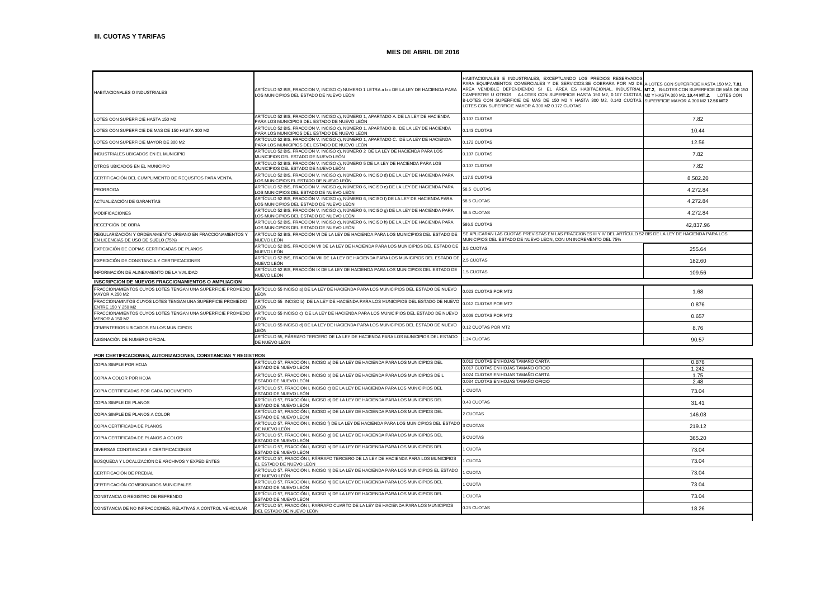| HABITACIONALES O INDUSTRIALES                                                                   | ARTÍCULO 52 BIS, FRACCION V, INCISO C) NUMERO 1 LETRA a b c DE LA LEY DE HACIENDA PARA<br>LOS MUNICIPIOS DEL ESTADO DE NUEVO LEÓN   | HABITACIONALES E INDUSTRIALES, EXCEPTUANDO LOS PREDIOS RESERVADOS<br>PARA EQUIPAMIENTOS COMERCIALES Y DE SERVICIOS:SE COBRARA POR M2 DE A-LOTES CON SUPERFICIE HASTA 150 M2, 7.81<br>ÁREA VENDIBLE DEPENDIENDO SI EL ÁREA ES HABITACIONAL, INDUSTRIAL, MT.2. B-LOTES CON SUPERFICIE DE MÁS DE 150<br>CAMPESTRE U OTROS A-LOTES CON SUPERFICIE HASTA 150 M2, 0.107 CUOTAS, M2 Y HASTA 300 M2, 10.44 MT.2, LOTES CON<br>B-LOTES CON SUPERFICIE DE MÁS DE 150 M2 Y HASTA 300 M2, 0.143 CUOTAS, SUPERFICIE MAYOR A 300 M2 12.56 MT2<br>LOTES CON SUPERFICIE MAYOR A 300 M2 0.172 CUOTAS |           |
|-------------------------------------------------------------------------------------------------|-------------------------------------------------------------------------------------------------------------------------------------|-------------------------------------------------------------------------------------------------------------------------------------------------------------------------------------------------------------------------------------------------------------------------------------------------------------------------------------------------------------------------------------------------------------------------------------------------------------------------------------------------------------------------------------------------------------------------------------|-----------|
| LOTES CON SUPERFICIE HASTA 150 M2                                                               | ARTÍCULO 52 BIS. FRACCIÓN V. INCISO c). NÚMERO 1. APARTADO A. DE LA LEY DE HACIENDA<br>PARA LOS MUNICIPIOS DEL ESTADO DE NUEVO LEÓN | 0.107 CUOTAS                                                                                                                                                                                                                                                                                                                                                                                                                                                                                                                                                                        | 7.82      |
| LOTES CON SUPERFICIE DE MAS DE 150 HASTA 300 M2                                                 | ARTÍCULO 52 BIS. FRACCIÓN V. INCISO c). NÚMERO 1. APARTADO B. DE LA LEY DE HACIENDA<br>PARA LOS MUNICIPIOS DEL ESTADO DE NUEVO LEÓN | 0.143 CUOTAS                                                                                                                                                                                                                                                                                                                                                                                                                                                                                                                                                                        | 10.44     |
| LOTES CON SUPERFICIE MAYOR DE 300 M2                                                            | ARTÍCULO 52 BIS. FRACCIÓN V. INCISO c). NÚMERO 1. APARTADO C. DE LA LEY DE HACIENDA<br>PARA LOS MUNICIPIOS DEL ESTADO DE NUEVO LEÓN | 0.172 CUOTAS                                                                                                                                                                                                                                                                                                                                                                                                                                                                                                                                                                        | 12.56     |
| INDUSTRIALES UBICADOS EN EL MUNICIPIO                                                           | ARTÍCULO 52 BIS, FRACCIÓN V. INCISO c), NÚMERO 2 DE LA LEY DE HACIENDA PARA LOS<br>MUNICIPIOS DEL ESTADO DE NUEVO LEÓN              | 0.107 CUOTAS                                                                                                                                                                                                                                                                                                                                                                                                                                                                                                                                                                        | 7.82      |
| OTROS UBICADOS EN EL MUNICIPIO                                                                  | ARTÍCULO 52 BIS, FRACCIÓN V. INCISO c), NÚMERO 5 DE LA LEY DE HACIENDA PARA LOS<br>MUNICIPIOS DEL ESTADO DE NUEVO LEÓN              | 0.107 CUOTAS                                                                                                                                                                                                                                                                                                                                                                                                                                                                                                                                                                        | 7.82      |
| CERTIFICACIÓN DEL CUMPLIMIENTO DE REQUSITOS PARA VENTA.                                         | ARTÍCULO 52 BIS, FRACCIÓN V. INCISO c), NÚMERO 6, INCISO d) DE LA LEY DE HACIENDA PARA<br>OS MUNICIPIOS EL ESTADO DE NUEVO LEÓN     | 117.5 CUOTAS                                                                                                                                                                                                                                                                                                                                                                                                                                                                                                                                                                        | 8.582.20  |
| <b>PRORROGA</b>                                                                                 | ARTÍCULO 52 BIS, FRACCIÓN V. INCISO c), NÚMERO 6, INCISO e) DE LA LEY DE HACIENDA PARA<br>LOS MUNICIPIOS DEL ESTADO DE NUEVO LEÓN   | 58.5 CUOTAS                                                                                                                                                                                                                                                                                                                                                                                                                                                                                                                                                                         | 4.272.84  |
| ACTUALIZACIÓN DE GARANTÍAS                                                                      | ARTÍCULO 52 BIS. FRACCIÓN V. INCISO c). NÚMERO 6. INCISO f) DE LA LEY DE HACIENDA PARA<br>LOS MUNICIPIOS DEL ESTADO DE NUEVO LEÓN   | 58.5 CUOTAS                                                                                                                                                                                                                                                                                                                                                                                                                                                                                                                                                                         | 4.272.84  |
| <b>MODIFICACIONES</b>                                                                           | ARTÍCULO 52 BIS, FRACCIÓN V. INCISO c), NÚMERO 6, INCISO q) DE LA LEY DE HACIENDA PARA<br>LOS MUNICIPIOS DEL ESTADO DE NUEVO LEÓN   | 58.5 CUOTAS                                                                                                                                                                                                                                                                                                                                                                                                                                                                                                                                                                         | 4.272.84  |
| RECEPCIÓN DE OBRA                                                                               | ARTÍCULO 52 BIS, FRACCIÓN V. INCISO c), NÚMERO 6, INCISO h) DE LA LEY DE HACIENDA PARA<br>LOS MUNICIPIOS DEL ESTADO DE NUEVO LEÓN   | 586.5 CUOTAS                                                                                                                                                                                                                                                                                                                                                                                                                                                                                                                                                                        | 42.837.96 |
| REGULARIZACIÓN Y ORDENAMIENTO URBANO EN FRACCIONAMIENTOS Y<br>EN LICENCIAS DE USO DE SUELO (75% | ARTÍCULO 52 BIS. FRACCIÓN VI DE LA LEY DE HACIENDA PARA LOS MUNICIPIOS DEL ESTADO DE<br>NUEVO LEÓN                                  | SE APLICARAN LAS CUOTAS PREVISTAS EN LAS FRACCIONES III Y IV DEL ARTÍCULO 52 BIS DE LA LEY DE HACIENDA PARA LOS<br>MUNICIPIOS DEL ESTADO DE NUEVO LEON. CON UN INCREMENTO DEL 75%                                                                                                                                                                                                                                                                                                                                                                                                   |           |
| EXPEDICIÓN DE COPIAS CERTIFICADAS DE PLANOS                                                     | ARTÍCULO 52 BIS. FRACCIÓN VII DE LA LEY DE HACIENDA PARA LOS MUNICIPIOS DEL ESTADO DE<br>NUFVO I FÓN                                | 3.5 CUOTAS                                                                                                                                                                                                                                                                                                                                                                                                                                                                                                                                                                          | 255.64    |
| EXPEDICIÓN DE CONSTANCIA Y CERTIFICACIONES                                                      | ARTÍCULO 52 BIS. FRACCIÓN VIII DE LA LEY DE HACIENDA PARA LOS MUNICIPIOS DEL ESTADO DE<br>NUEVO LEÓN                                | 2.5 CUOTAS                                                                                                                                                                                                                                                                                                                                                                                                                                                                                                                                                                          | 182.60    |
| INFORMACIÓN DE ALINEAMIENTO DE LA VIALIDAD                                                      | ARTÍCULO 52 BIS. FRACCIÓN IX DE LA LEY DE HACIENDA PARA LOS MUNICIPIOS DEL ESTADO DE<br>NUEVO LEÓN                                  | 1.5 CUOTAS                                                                                                                                                                                                                                                                                                                                                                                                                                                                                                                                                                          | 109.56    |
| <b>INSCRIPCION DE NUEVOS FRACCIONAMIENTOS O AMPLIACION</b>                                      |                                                                                                                                     |                                                                                                                                                                                                                                                                                                                                                                                                                                                                                                                                                                                     |           |
| FRACCIONAMIENTOS CUYOS LOTES TENGAN UNA SUPERFICIE PROMEDIO<br><b>MAYOR A 250 M2</b>            | ARTÍCULO 55 INCISO a) DE LA LEY DE HACIENDA PARA LOS MUNICIPIOS DEL ESTADO DE NUEVO<br>LEÓN                                         | 0.023 CUOTAS POR MT2                                                                                                                                                                                                                                                                                                                                                                                                                                                                                                                                                                | 1.68      |
| FRACCIONAMINTOS CUYOS LOTES TENGAN UNA SUPERFICIE PROMEDIO<br>ENTRE 150 Y 250 M2                | ARTÍCULO 55 INCISO b) DE LA LEY DE HACIENDA PARA LOS MUNICIPIOS DEL ESTADO DE NUEVO<br>LEÓN                                         | 0.012 CUOTAS POR MT2                                                                                                                                                                                                                                                                                                                                                                                                                                                                                                                                                                | 0.876     |
| FRACCIONAMIENTOS CUYOS LOTES TENGAN UNA SUPERFICIE PROMEDIO<br>MENOR A 150 M2                   | ARTÍCULO 55 INCISO c) DE LA LEY DE HACIENDA PARA LOS MUNICIPIOS DEL ESTADO DE NUEVO<br>I FÓN                                        | 0.009 CUOTAS POR MT2                                                                                                                                                                                                                                                                                                                                                                                                                                                                                                                                                                | 0.657     |
| CEMENTERIOS UBICADOS EN LOS MUNICIPIOS                                                          | ARTÍCULO 55 INCISO d) DE LA LEY DE HACIENDA PARA LOS MUNICIPIOS DEL ESTADO DE NUEVO<br>FÓN                                          | 0.12 CUOTAS POR MT2                                                                                                                                                                                                                                                                                                                                                                                                                                                                                                                                                                 | 8.76      |
| ASIGNACIÓN DE NUMERO OFICIAL                                                                    | ARTÍCULO 55, PÁRRAFO TERCERO DE LA LEY DE HACIENDA PARA LOS MUNICIPIOS DEL ESTADO<br>DE NUEVO LEÓN                                  | 1.24 CUOTAS                                                                                                                                                                                                                                                                                                                                                                                                                                                                                                                                                                         | 90.57     |

### **POR CERTIFICACIONES, AUTORIZACIONES, CONSTANCIAS Y REGISTROS**

| COPIA SIMPLE POR HOJA                                        | ARTÍCULO 57, FRACCIÓN I, INCISO a) DE LA LEY DE HACIENDA PARA LOS MUNICIPIOS DEL                                  | 0.012 CUOTAS EN HOJAS TAMAÑO CARTA  | 0.876  |
|--------------------------------------------------------------|-------------------------------------------------------------------------------------------------------------------|-------------------------------------|--------|
|                                                              | ESTADO DE NUEVO LEÓN                                                                                              | 0.017 CUOTAS EN HOJAS TAMAÑO OFICIO | 1.242  |
| COPIA A COLOR POR HOJA                                       | ARTÍCULO 57, FRACCIÓN I, INCISO b) DE LA LEY DE HACIENDA PARA LOS MUNICIPIOS DE L                                 | 0.024 CUOTAS EN HOJAS TAMAÑO CARTA  | 1.75   |
|                                                              | ESTADO DE NUEVO LEÓN                                                                                              | 0.034 CUOTAS EN HOJAS TAMAÑO OFICIO | 2.48   |
| COPIA CERTIFICADAS POR CADA DOCUMENTO                        | ARTÍCULO 57, FRACCIÓN I, INCISO c) DE LA LEY DE HACIENDA PARA LOS MUNICIPIOS DEL<br>ESTADO DE NUEVO LEÓN          | 1 CUOTA                             | 73.04  |
| COPIA SIMPLE DE PLANOS                                       | ARTÍCULO 57, FRACCIÓN I, INCISO d) DE LA LEY DE HACIENDA PARA LOS MUNICIPIOS DEL<br>ESTADO DE NUEVO LEÓN          | 0.43 CUOTAS                         | 31.41  |
| COPIA SIMPLE DE PLANOS A COLOR                               | ARTÍCULO 57, FRACCIÓN I, INCISO e) DE LA LEY DE HACIENDA PARA LOS MUNICIPIOS DEL<br>ESTADO DE NUEVO LEÓN          | 2 CUOTAS                            | 146.08 |
| COPIA CERTIFICADA DE PLANOS                                  | ARTÍCULO 57, FRACCIÓN I, INCISO f) DE LA LEY DE HACIENDA PARA LOS MUNICIPIOS DEL ESTADO 3 CUOTAS<br>DE NUEVO LEÓN |                                     | 219.12 |
| COPIA CERTIFICADA DE PLANOS A COLOR                          | ARTÍCULO 57, FRACCIÓN I, INCISO q) DE LA LEY DE HACIENDA PARA LOS MUNICIPIOS DEL<br>ESTADO DE NUEVO LEÓN          | 5 CUOTAS                            | 365.20 |
| DIVERSAS CONSTANCIAS Y CERTIFICACIONES                       | ARTÍCULO 57, FRACCIÓN I, INCISO h) DE LA LEY DE HACIENDA PARA LOS MUNICIPIOS DEL<br>ESTADO DE NUEVO LEÓN          | 1 CUOTA                             | 73.04  |
| BÚSQUEDA Y LOCALIZACIÓN DE ARCHIVOS Y EXPEDIENTES            | ARTÍCULO 57. FRACCIÓN I. PÁRRAFO TERCERO DE LA LEY DE HACIENDA PARA LOS MUNICIPIOS<br>EL ESTADO DE NUEVO LEÓN     | 1 CUOTA                             | 73.04  |
| CERTIFICACIÓN DE PREDIAL                                     | ARTÍCULO 57, FRACCIÓN I, INCISO h) DE LA LEY DE HACIENDA PARA LOS MUNICIPIOS EL ESTADO<br>DE NUEVO LEÓN           | 1 CUOTA                             | 73.04  |
| CERTIFICACIÓN COMISIONADOS MUNICIPALES                       | ARTÍCULO 57, FRACCIÓN I, INCISO h) DE LA LEY DE HACIENDA PARA LOS MUNICIPIOS DEL<br>ESTADO DE NUEVO LEÓN          | 1 CUOTA                             | 73.04  |
| CONSTANCIA O REGISTRO DE REFRENDO                            | ARTÍCULO 57, FRACCIÓN I, INCISO h) DE LA LEY DE HACIENDA PARA LOS MUNICIPIOS DEL<br>ESTADO DE NUEVO LEÓN          | 1 CUOTA                             | 73.04  |
| CONSTANCIA DE NO INFRACCIONES, RELATIVAS A CONTROL VEHICULAR | ARTÍCULO 57. FRACCIÓN I. PARRAFO CUARTO DE LA LEY DE HACIENDA PARA LOS MUNICIPIOS<br>DEL ESTADO DE NUEVO LEÓN     | 0.25 CUOTAS                         | 18.26  |

linger i den sterre for de forme i de forme i de forme i de forme i de forme i de forme i de forme i de forme i<br>De forme i de forme i de forme i de forme i de forme i de forme i de forme i de forme i de forme i de forme i<br>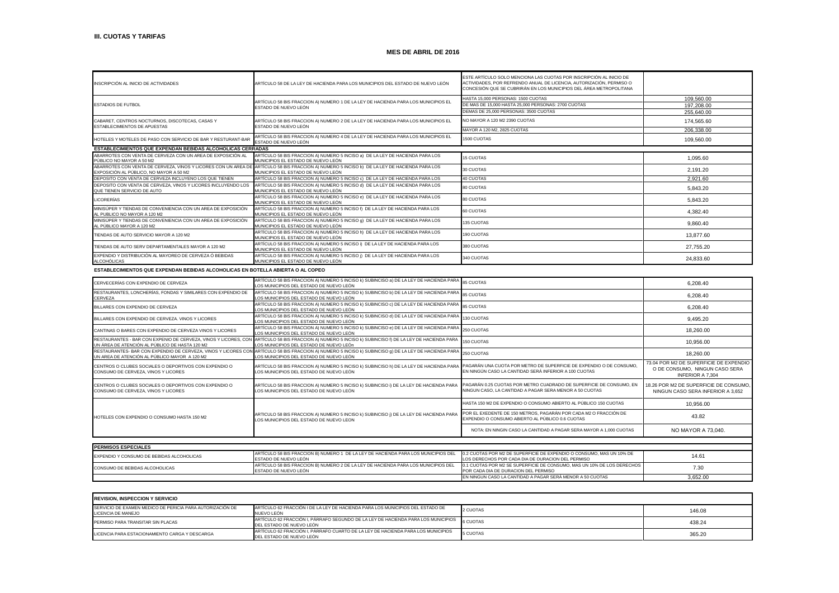| INSCRIPCIÓN AL INICIO DE ACTIVIDADES                                                          | ARTÍCULO 58 DE LA LEY DE HACIENDA PARA LOS MUNICIPIOS DEL ESTADO DE NUEVO LEÓN                                                                                                     | ESTE ARTÍCULO SOLO MENCIONA LAS CUOTAS POR INSCRIPCIÓN AL INICIO DE<br>ACTIVIDADES, POR REFRENDO ANUAL DE LICENCIA, AUTORIZACIÓN, PERMISO O<br>CONCESIÓN QUE SE CUBRIRÁN EN LOS MUNICIPIOS DEL ÁREA METROPOLITANA |            |
|-----------------------------------------------------------------------------------------------|------------------------------------------------------------------------------------------------------------------------------------------------------------------------------------|-------------------------------------------------------------------------------------------------------------------------------------------------------------------------------------------------------------------|------------|
|                                                                                               | ARTÍCULO 58 BIS FRACCION A) NUMERO 1 DE LA LEY DE HACIENDA PARA LOS MUNICIPIOS EL                                                                                                  | HASTA 15,000 PERSONAS: 1500 CUOTAS                                                                                                                                                                                | 109.560.00 |
| <b>ESTADIOS DE FUTBOL</b>                                                                     | ESTADO DE NUEVO LEÓN                                                                                                                                                               | DE MAS DE 15.000 HASTA 25.000 PERSONAS: 2700 CUOTAS                                                                                                                                                               | 197.208.00 |
|                                                                                               |                                                                                                                                                                                    | DEMAS DE 25.000 PERSONAS: 3500 CUOTAS                                                                                                                                                                             | 255.640.00 |
| CABARET, CENTROS NOCTURNOS, DISCOTECAS, CASAS Y<br>ESTABLECIMIENTOS DE APUESTAS               | ARTÍCULO 58 BIS FRACCION A) NUMERO 2 DE LA LEY DE HACIENDA PARA LOS MUNICIPIOS EL<br>ESTADO DE NUEVO LEÓN                                                                          | NO MAYOR A 120 M2 2390 CUOTAS                                                                                                                                                                                     | 174.565.60 |
|                                                                                               |                                                                                                                                                                                    | MAYOR A 120 M2, 2825 CUOTAS                                                                                                                                                                                       | 206,338.00 |
| HOTELES Y MOTELES DE PASO CON SERVICIO DE BAR Y RESTURANT-BAR                                 | ARTÍCULO 58 BIS FRACCION A) NUMERO 4 DE LA LEY DE HACIENDA PARA LOS MUNICIPIOS EL<br>ESTADO DE NUEVO LEÓN                                                                          | 1500 CUOTAS                                                                                                                                                                                                       | 109,560.00 |
| <b>ESTABLECIMIENTOS QUE EXPENDAN BEBIDAS ALCOHOLICAS CERRADAS</b>                             |                                                                                                                                                                                    |                                                                                                                                                                                                                   |            |
| ABARROTES CON VENTA DE CERVEZA CON UN AREA DE EXPOSICIÓN AL<br>PÚBLICO NO MAYOR A 50 M2       | ARTÍCULO 58 BIS FRACCION A) NUMERO 5 INCISO a) DE LA LEY DE HACIENDA PARA LOS<br>MUNICIPIOS EL ESTADO DE NUEVO LEÓN                                                                | <b>15 CUOTAS</b>                                                                                                                                                                                                  | 1,095.60   |
| EXPOSICIÓN AL PÚBLICO, NO MAYOR A 50 M2                                                       | ABARROTES CON VENTA DE CERVEZA, VINOS Y LICORES CON UN AREA DE ARTÍCULO 58 BIS FRACCION A) NUMERO 5 INCISO b) DE LA LEY DE HACIENDA PARA LOS<br>MUNICIPIOS EL ESTADO DE NUEVO LEÓN | 30 CUOTAS                                                                                                                                                                                                         | 2.191.20   |
| DEPOSITO CON VENTA DE CERVEZA INCLUYENO LOS QUE TIENEN                                        | ARTÍCULO 58 BIS FRACCION A) NUMERO 5 INCISO c) DE LA LEY DE HACIENDA PARA LOS                                                                                                      | 40 CUOTAS                                                                                                                                                                                                         | 2.921.60   |
| DEPOSITO CON VENTA DE CERVEZA, VINOS Y LICORES INCLUYENDO LOS<br>QUE TIENEN SERVICIO DE AUTO  | ARTÍCULO 58 BIS FRACCION A) NUMERO 5 INCISO d) DE LA LEY DE HACIENDA PARA LOS<br>MUNICIPIOS EL ESTADO DE NUEVO LEÓN                                                                | 80 CUOTAS                                                                                                                                                                                                         | 5.843.20   |
| <b>LICORERÍAS</b>                                                                             | ARTÍCULO 58 BIS FRACCION A) NUMERO 5 INCISO e) DE LA LEY DE HACIENDA PARA LOS<br>MUNICIPIOS EL ESTADO DE NUEVO LEÓN                                                                | 80 CUOTAS                                                                                                                                                                                                         | 5.843.20   |
| MINISÚPER Y TIENDAS DE CONVENIENCIA CON UN AREA DE EXPOSICIÓN<br>AL PUBLICO NO MAYOR A 120 M2 | ARTÍCULO 58 BIS FRACCION A) NUMERO 5 INCISO f) DE LA LEY DE HACIENDA PARA LOS<br>MUNICIPIOS EL ESTADO DE NUEVO LEÓN                                                                | 60 CUOTAS                                                                                                                                                                                                         | 4.382.40   |
| MINISÚPER Y TIENDAS DE CONVENIENCIA CON UN AREA DE EXPOSICIÓN<br>AL PÚBLICO MAYOR A 120 M2    | ARTÍCULO 58 BIS FRACCION A) NUMERO 5 INCISO g) DE LA LEY DE HACIENDA PARA LOS<br>MUNICIPIOS EL ESTADO DE NUEVO LEÓN                                                                | 135 CUOTAS                                                                                                                                                                                                        | 9.860.40   |
| TIENDAS DE AUTO SERVICIO MAYOR A 120 M2                                                       | ARTÍCULO 58 BIS FRACCION A) NUMERO 5 INCISO h) DE LA LEY DE HACIENDA PARA LOS<br>MUNICIPIOS EL ESTADO DE NUEVO LEÓN                                                                | 190 CUOTAS                                                                                                                                                                                                        | 13,877.60  |
| TIENDAS DE AUTO SERV DEPARTAMENTALES MAYOR A 120 M2                                           | ARTÍCULO 58 BIS FRACCION A) NUMERO 5 INCISO i) DE LA LEY DE HACIENDA PARA LOS<br>MUNICIPIOS EL ESTADO DE NUEVO LEÓN                                                                | 380 CUOTAS                                                                                                                                                                                                        | 27.755.20  |
| EXPENDIO Y DISTRIBUCIÓN AL MAYOREO DE CERVEZA Ó BEBIDAS<br><b>ALCOHÓLICAS</b>                 | ARTÍCULO 58 BIS FRACCION A) NUMERO 5 INCISO ¡) DE LA LEY DE HACIENDA PARA LOS<br>MUNICIPIOS EL ESTADO DE NUEVO LEÓN                                                                | 340 CUOTAS                                                                                                                                                                                                        | 24,833.60  |

### **ESTABLECIMIENTOS QUE EXPENDAN BEBIDAS ALCOHOLICAS EN BOTELLA ABIERTA O AL COPEO**

| CERVECERÍAS CON EXPENDIO DE CERVEZA                                                          | ARTÍCULO 58 BIS FRACCION A) NUMERO 5 INCISO k) SUBINCISO a) DE LA LEY DE HACIENDA PARA 85 CUOTAS<br>LOS MUNICIPIOS DEL ESTADO DE NUEVO LEÓN                                                       |                                                                                                                                | 6.208.40                                                                                            |
|----------------------------------------------------------------------------------------------|---------------------------------------------------------------------------------------------------------------------------------------------------------------------------------------------------|--------------------------------------------------------------------------------------------------------------------------------|-----------------------------------------------------------------------------------------------------|
| RESTAURANTES, LONCHERÍAS, FONDAS Y SIMILARES CON EXPENDIO DE<br>CERVEZA                      | ARTÍCULO 58 BIS FRACCION A) NUMERO 5 INCISO k) SUBINCISO b) DE LA LEY DE HACIENDA PARA<br>LOS MUNICIPIOS DEL ESTADO DE NUEVO LEÓN                                                                 | 85 CUOTAS                                                                                                                      | 6,208.40                                                                                            |
| BILLARES CON EXPENDIO DE CERVEZA                                                             | ARTÍCULO 58 BIS FRACCION A) NUMERO 5 INCISO k) SUBINCISO c) DE LA LEY DE HACIENDA PARA<br>LOS MUNICIPIOS DEL ESTADO DE NUEVO LEÓN                                                                 | <b>85 CUOTAS</b>                                                                                                               | 6.208.40                                                                                            |
| BILLARES CON EXPENDIO DE CERVEZA. VINOS Y LICORES                                            | ARTÍCULO 58 BIS FRACCION A) NUMERO 5 INCISO k) SUBINCISO d) DE LA LEY DE HACIENDA PARA<br>LOS MUNICIPIOS DEL ESTADO DE NUEVO LEÓN                                                                 | 130 CUOTAS                                                                                                                     | 9,495.20                                                                                            |
| CANTINAS O BARES CON EXPENDIO DE CERVEZA VINOS Y LICORES                                     | ARTÍCULO 58 BIS FRACCION A) NUMERO 5 INCISO k) SUBINCISO e) DE LA LEY DE HACIENDA PARA<br>LOS MUNICIPIOS DEL ESTADO DE NUEVO LEÓN                                                                 | 250 CUOTAS                                                                                                                     | 18,260.00                                                                                           |
| UN ÁREA DE ATENCIÓN AL PÚBLICO DE HASTA 120 M2                                               | RESTAURANTES - BAR CON EXPENIO DE CERVEZA, VINOS Y LICORES, CON ARTÍCULO 58 BIS FRACCION A) NUMERO 5 INCISO k) SUBINCISO f) DE LA LEY DE HACIENDA PARA<br>LOS MUNICIPIOS DEL ESTADO DE NUEVO LEÓn | 150 CUOTAS                                                                                                                     | 10,956.00                                                                                           |
| UN AREA DE ATENCIÓN AL PÚBLICO MAYOR A 120 M2                                                | RESTAURANTES- BAR CON EXPENDIO DE CERVEZA, VINOS Y LICORES CON ARTÍCULO 58 BIS FRACCION A) NUMERO 5 INCISO k) SUBINCISO q) DE LA LEY DE HACIENDA PARA<br>LOS MUNICIPIOS DEL ESTADO DE NUEVO LEÓN  | 250 CUOTAS                                                                                                                     | 18,260.00                                                                                           |
| CENTROS O CLUBES SOCIALES O DEPORTIVOS CON EXPENDIO O<br>CONSUMO DE CERVEZA, VINOS Y LICORES | ARTÍCULO 58 BIS FRACCION A) NUMERO 5 INCISO k) SUBINCISO h) DE LA LEY DE HACIENDA PARA<br>LOS MUNICIPIOS DEL ESTADO DE NUEVO LEÓN                                                                 | PAGARÁN UNA CUOTA POR METRO DE SUPERFICIE DE EXPENDIO O DE CONSUMO,<br>EN NINGÚN CASO LA CANTIDAD SERÁ INFERIOR A 100 CUOTAS   | 73.04 POR M2 DE SUPERFICIE DE EXPENDIO<br>O DE CONSUMO, NINGUN CASO SERA<br><b>INFERIOR A 7.304</b> |
| CENTROS O CLUBES SOCIALES O DEPORTIVOS CON EXPENDIO O<br>CONSUMO DE CERVEZA, VINOS Y LICORES | ARTÍCULO 58 BIS FRACCION A) NUMERO 5 INCISO k) SUBINCISO i) DE LA LEY DE HACIENDA PARA<br>LOS MUNICIPIOS DEL ESTADO DE NUEVO LEÓN.                                                                | PAGARÁN 0.25 CUOTAS POR METRO CUADRADO DE SUPERFICIE DE CONSUMO. EN<br>NINGUN CASO. LA CANTIDAD A PAGAR SERA MENOR A 50 CUOTAS | 18.26 POR M2 DE SUPERFICIE DE CONSUMO,<br>NINGUN CASO SERA INFERIOR A 3.652                         |
|                                                                                              |                                                                                                                                                                                                   | HASTA 150 M2 DE EXPENDIO O CONSUMO ABIERTO AL PÚBLICO 150 CUOTAS                                                               | 10,956.00                                                                                           |
| HOTELES CON EXPENDIO O CONSUMO HASTA 150 M2                                                  | ARTICULO 58 BIS FRACCION A) NUMERO 5 INCISO k) SUBINCISO ¡) DE LA LEY DE HACIENDA PARA<br>LOS MUNICIPIOS DEL ESTADO DE NUEVO LEON                                                                 | POR EL EXEDENTE DE 150 METROS, PAGARÁN POR CADA M2 O FRACCIÓN DE<br>EXPENDIO O CONSUMO ABIERTO AL PÚBLICO 0.6 CUOTAS           | 43.82                                                                                               |
|                                                                                              |                                                                                                                                                                                                   | NOTA: EN NINGIN CASO LA CANTIDAD A PAGAR SERA MAYOR A 1,000 CUOTAS                                                             | NO MAYOR A 73,040.                                                                                  |
|                                                                                              |                                                                                                                                                                                                   |                                                                                                                                |                                                                                                     |

| <b>PERMISOS ESPECIALES</b>                |                                                                                    |                                                                        |          |
|-------------------------------------------|------------------------------------------------------------------------------------|------------------------------------------------------------------------|----------|
| EXPENDIO Y CONSUMO DE BEBIDAS ALCOHOLICAS | ARTÍCULO 58 BIS FRACCION B) NUMERO 1 DE LA LEY DE HACIENDA PARA LOS MUNICIPIOS DEL | 0.2 CUOTAS POR M2 DE SUPERFICIE DE EXPENDIO O CONSUMO. MAS UN 10% DE   | 14.61    |
|                                           | ESTADO DE NUEVO LEÓN                                                               | LLOS DERECHOS POR CADA DIA DE DURACION DEL PERMISO                     |          |
| CONSUMO DE BEBIDAS ALCOHOLICAS            | ARTÍCULO 58 BIS FRACCION B) NUMERO 2 DE LA LEY DE HACIENDA PARA LOS MUNICIPIOS DEL | 0.1 CUOTAS POR M2 SE SUPERFICIE DE CONSUMO. MAS UN 10% DE LOS DERECHOS | 7.3(     |
|                                           | ESTADO DE NUEVO LEÓN                                                               | POR CADA DIA DE DURACION DEL PERMISO                                   |          |
|                                           |                                                                                    | EN NINGUN CASO LA CANTIDAD A PAGAR SERÁ MENOR A 50 CUOTAS              | 3.652.00 |

| <b>REVISION, INSPECCION Y SERVICIO</b>                                                  |                                                                                                               |          |        |
|-----------------------------------------------------------------------------------------|---------------------------------------------------------------------------------------------------------------|----------|--------|
| <b>ISERVICIO DE EXAMEN MEDICO DE PERICIA PARA AUTORIZACIÓN DE</b><br>LICENCIA DE MANEJO | ARTÍCULO 62 FRACCIÓN I DE LA LEY DE HACIENDA PARA LOS MUNICIPIOS DEL ESTADO DE<br>NUEVO LEÓN                  | 2 CUOTAS | 146.08 |
| PERMISO PARA TRANSITAR SIN PLACAS                                                       | ARTÍCULO 62 FRACCIÓN I, PÁRRAFO SEGUNDO DE LA LEY DE HACIENDA PARA LOS MUNICIPIOS<br>DEL ESTADO DE NUEVO LEÓN | 6 CUOTAS | 438.24 |
| LICENCIA PARA ESTACIONAMIENTO CARGA Y DESCARGA                                          | ARTÍCULO 62 FRACCIÓN I, PÁRRAFO CUARTO DE LA LEY DE HACIENDA PARA LOS MUNICIPIOS<br>DEL ESTADO DE NUEVO LEÓN  | 5 CUOTAS | 365.20 |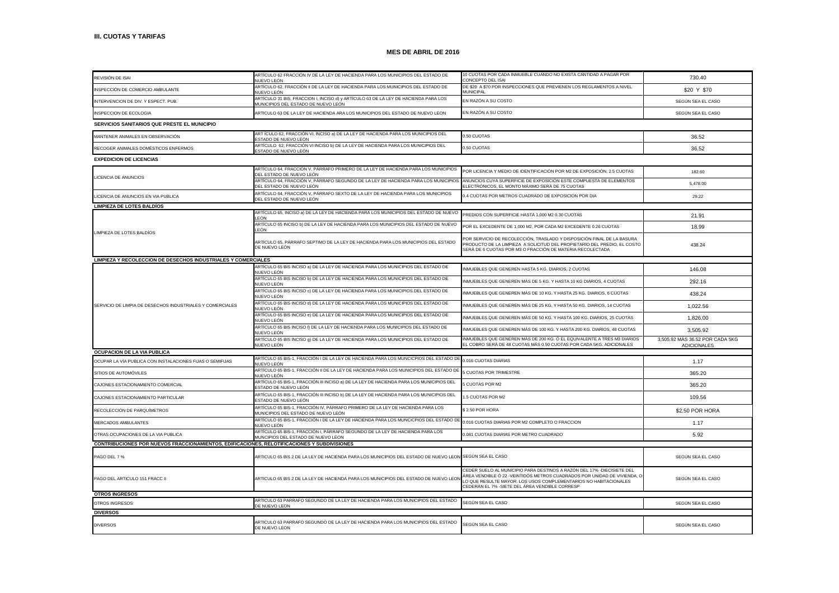| REVISIÓN DE ISAI                                                                            | ARTÍCULO 62 FRACCIÓN IV DE LA LEY DE HACIENDA PARA LOS MUNICIPIOS DEL ESTADO DE                                            | 10 CUOTAS POR CADA INMUEBLE CUANDO NO EXISTA CANTIDAD A PAGAR POR                                                                                                                                                                                                        | 730.40                                                |  |  |
|---------------------------------------------------------------------------------------------|----------------------------------------------------------------------------------------------------------------------------|--------------------------------------------------------------------------------------------------------------------------------------------------------------------------------------------------------------------------------------------------------------------------|-------------------------------------------------------|--|--|
|                                                                                             | NUEVO LEÓN<br>ARTÍCULO 62, FRACCIÓN II DE LA LEY DE HACIENDA PARA LOS MUNICIPIOS DEL ESTADO DE                             | <b>CONCEPTO DEL ISAL</b><br>DE \$20 A \$70 POR INSPECCIONES QUE PREVIENEN LOS REGLAMENTOS A NIVEL                                                                                                                                                                        |                                                       |  |  |
| INSPECCIÓN DE COMERCIO AMBULANTE                                                            | NUFVO I FÓN                                                                                                                | <b>MUNICIPAL</b>                                                                                                                                                                                                                                                         | \$20 Y \$70                                           |  |  |
| INTERVENCION DE DIV. Y ESPECT. PUB.                                                         | ARTÍCULO 31 BIS, FRACCION I, INCISO d) y ARTÍCULO 63 DE LA LEY DE HACIENDA PARA LOS<br>MUNICIPIOS DEL ESTADO DE NUEVO LEÓN | EN RAZÓN A SU COSTO                                                                                                                                                                                                                                                      | SEGÚN SEA EL CASO                                     |  |  |
| INSPECCION DE ECOLOGIA                                                                      | ARTICULO 63 DE LA LEY DE HACIENDA ARA LOS MUNICIPIOS DEL ESTADO DE NUEVO LEON                                              | EN RAZÓN A SU COSTO                                                                                                                                                                                                                                                      | SEGÚN SEA EL CASO                                     |  |  |
| SERVICIOS SANITARIOS QUE PRESTE EL MUNICIPIO                                                |                                                                                                                            |                                                                                                                                                                                                                                                                          |                                                       |  |  |
| MANTENER ANIMALES EN OBSERVACIÓN                                                            | ART ÍCULO 62, FRACCIÓN VI, INCISO a) DE LA LEY DE HACIENDA PARA LOS MUNICIPIOS DEL<br>STADO DE NUEVO LEÓN                  | 0.50 CUOTAS                                                                                                                                                                                                                                                              | 36.52                                                 |  |  |
| RECOGER ANIMALES DOMÉSTICOS ENFERMOS                                                        | ARTÍCULO 62, FRACCIÓN VI INCISO b) DE LA LEY DE HACIENDA PARA LOS MUNICIPIOS DEL<br>ESTADO DE NUEVO LEÓN                   | 0.50 CUOTAS                                                                                                                                                                                                                                                              | 36.52                                                 |  |  |
| <b>EXPEDICION DE LICENCIAS</b>                                                              |                                                                                                                            |                                                                                                                                                                                                                                                                          |                                                       |  |  |
|                                                                                             | ARTÍCULO 64, FRACCIÓN V, PÁRRAFO PRIMERO DE LA LEY DE HACIENDA PARA LOS MUNICIPIOS<br>DEL ESTADO DE NUEVO LEÓN             | POR LICENCIA Y MEDIO DE IDENTIFICACIÓN POR M2 DE EXPOSICIÓN, 2.5 CUOTAS                                                                                                                                                                                                  | 182.60                                                |  |  |
| LICENCIA DE ANUNCIOS                                                                        | ARTÍCULO 64, FRACCIÓN V, PÁRRAFO SEGUNDO DE LA LEY DE HACIENDA PARA LOS MUNICIPIOS<br>DEL ESTADO DE NUEVO LEÓN             | ANUNCIOS CUYA SUPERFICIE DE EXPOSICIÓN ESTE COMPUESTA DE ELEMENTOS<br>ELECTRÓNICOS, EL MONTO MÁXIMO SERÁ DE 75 CUOTAS                                                                                                                                                    | 5,478.00                                              |  |  |
| LICENCIA DE ANUNCIOS EN VIA PUBLICA                                                         | ARTÍCULO 64, FRACCIÓN V, PÁRRAFO SEXTO DE LA LEY DE HACIENDA PARA LOS MUNICIPIOS<br>DEL ESTADO DE NUEVO LEÓN               | 0.4 CUOTAS POR METROS CUADRADO DE EXPOSICION POR DIA                                                                                                                                                                                                                     | 29.22                                                 |  |  |
| <b>LIMPIEZA DE LOTES BALDÍOS</b>                                                            |                                                                                                                            |                                                                                                                                                                                                                                                                          |                                                       |  |  |
|                                                                                             | ARTÍCULO 65, INCISO a) DE LA LEY DE HACIENDA PARA LOS MUNICIPIOS DEL ESTADO DE NUEVO<br>FÓN                                | PREDIOS CON SUPERFICIE HASTA 1,000 M2 0.30 CUOTAS                                                                                                                                                                                                                        | 21.91                                                 |  |  |
|                                                                                             | ARTÍCULO 65 INCISO b) DE LA LEY DE HACIENDA PARA LOS MUNICIPIOS DEL ESTADO DE NUEVO<br>LEÓN                                | POR EL EXCEDENTE DE 1,000 M2, POR CADA M2 EXCEDENTE 0.26 CUOTAS                                                                                                                                                                                                          | 18.99                                                 |  |  |
| LIMPIEZA DE LOTES BALDÍOS                                                                   | ARTÍCULO 65, PÁRRAFO SEPTIMO DE LA LEY DE HACIENDA PARA LOS MUNICIPIOS DEL ESTADO<br>DE NUEVO LEÓN                         | POR SERVICIO DE RECOLECCIÓN, TRASLADO Y DISPOSICIÓN FINAL DE LA BASURA<br>PRODUCTO DE LA LIMPIEZA A SOLICITUD DEL PROPIETARIO DEL PREDIO, EL COSTO<br>SERÁ DE 6 CUOTAS POR M3 O FRACCIÓN DE MATERIA RECOLECTADA                                                          | 438.24                                                |  |  |
| LIMPIEZA Y RECOLECCION DE DESECHOS INDUSTRIALES Y COMERCIALES                               |                                                                                                                            |                                                                                                                                                                                                                                                                          |                                                       |  |  |
|                                                                                             | ARTÍCULO 65 BIS INCISO a) DE LA LEY DE HACIENDA PARA LOS MUNICIPIOS DEL ESTADO DE<br>NUEVO LEÓN                            | INMUEBLES QUE GENEREN HASTA 5 KG. DIARIOS, 2 CUOTAS                                                                                                                                                                                                                      | 146.08                                                |  |  |
|                                                                                             | ARTÍCULO 65 BIS INCISO b) DE LA LEY DE HACIENDA PARA LOS MUNICIPIOS DEL ESTADO DE<br>NUEVO LEÓN                            | INMUEBLES QUE GENEREN MÁS DE 5 KG. Y HASTA 10 KG DIARIOS, 4 CUOTAS                                                                                                                                                                                                       | 292.16                                                |  |  |
|                                                                                             | ARTÍCULO 65 BIS INCISO c) DE LA LEY DE HACIENDA PARA LOS MUNICIPIOS DEL ESTADO DE<br>NUEVO LEÓN                            | INMUEBLES QUE GENEREN MÁS DE 10 KG. Y HASTA 25 KG. DIARIOS, 6 CUOTAS                                                                                                                                                                                                     | 438.24                                                |  |  |
| SERVICIO DE LIMPIA DE DESECHOS INDUSTRIALES Y COMERCIALES                                   | ARTÍCULO 65 BIS INCISO d) DE LA LEY DE HACIENDA PARA LOS MUNICIPIOS DEL ESTADO DE<br>NUFVO I FÓN                           | INMUEBLES QUE GENEREN MÁS DE 25 KG. Y HASTA 50 KG. DIARIOS, 14 CUOTAS                                                                                                                                                                                                    | 1,022.56                                              |  |  |
|                                                                                             | ARTÍCULO 65 BIS INCISO e) DE LA LEY DE HACIENDA PARA LOS MUNICIPIOS DEL ESTADO DE<br>NUFVO I FÓN                           | INMUEBLES QUE GENEREN MÁS DE 50 KG. Y HASTA 100 KG. DIARIOS, 25 CUOTAS                                                                                                                                                                                                   | 1,826.00                                              |  |  |
|                                                                                             | ARTÍCULO 65 BIS INCISO f) DE LA LEY DE HACIENDA PARA LOS MUNICIPIOS DEL ESTADO DE<br>NUEVO LEÓN                            | INMUEBLES QUE GENEREN MÁS DE 100 KG. Y HASTA 200 KG. DIARIOS, 48 CUOTAS                                                                                                                                                                                                  | 3.505.92                                              |  |  |
|                                                                                             | ARTÍCULO 65 BIS INCISO g) DE LA LEY DE HACIENDA PARA LOS MUNICIPIOS DEL ESTADO DE<br>NUEVO LEÓN                            | INMUEBLES QUE GENEREN MÁS DE 200 KG. Ó EL EQUIVALENTE A TRES M3 DIARIOS<br>EL COBRO SERÁ DE 48 CUOTAS MÁS 0.50 CUOTAS POR CADA 5KG. ADICIONALES                                                                                                                          | 3,505.92 MÁS 36.52 POR CADA 5KG<br><b>ADICIONALES</b> |  |  |
| OCUPACION DE LA VIA PUBLICA                                                                 |                                                                                                                            |                                                                                                                                                                                                                                                                          |                                                       |  |  |
| OCUPAR LA VÍA PUBLICA CON INSTALACIONES FIJAS O SEMIFIJAS                                   | ARTÍCULO 65 BIS-1, FRACCIÓN I DE LA LEY DE HACIENDA PARA LOS MUNCICPIOS DEL ESTADO DE<br>NUEVO LEÓN                        | 0.016 CUOTAS DIARIAS                                                                                                                                                                                                                                                     | 1.17                                                  |  |  |
| SITIOS DE AUTOMÓVILES                                                                       | ARTÍCULO 65 BIS-1, FRACCIÓN II DE LA LEY DE HACIENDA PARA LOS MUNICIPIOS DEL ESTADO DE<br>NUEVO LEÓN                       | <b>SCUOTAS POR TRIMESTRE</b>                                                                                                                                                                                                                                             | 365.20                                                |  |  |
| CAJONES ESTACIONAMIENTO COMERCIAL                                                           | ARTÍCULO 65 BIS-1, FRACCIÓN III INCISO a) DE LA LEY DE HACIENDA PARA LOS MUNICIPIOS DEL<br>ESTADO DE NUEVO LEÓN            | CUOTAS POR M2                                                                                                                                                                                                                                                            | 365.20                                                |  |  |
| CAJONES ESTACIONAMIENTO PARTICULAR                                                          | ARTÍCULO 65 BIS-1, FRACCIÓN III INCISO b) DE LA LEY DE HACIENDA PARA LOS MUNICIPIOS DEL<br>ESTADO DE NUEVO LEÓN            | 1.5 CUOTAS POR M2                                                                                                                                                                                                                                                        | 109.56                                                |  |  |
| RECOLECCIÓN DE PARQUÍMETROS                                                                 | ARTÍCULO 65 BIS-1, FRACCIÓN IV, PÁRRAFO PRIMERO DE LA LEY DE HACIENDA PARA LOS<br>MUNICIPIOS DEL ESTADO DE NUEVO LEÓN      | \$2.50 POR HORA                                                                                                                                                                                                                                                          | \$2.50 POR HORA                                       |  |  |
| MERCADOS AMBULANTES                                                                         | ARTÍCULO 65 BIS-1, FRACCIÓN I DE LA LEY DE HACIENDA PARA LOS MUNCICPIOS DEL ESTADO DI<br>NUFVO I FÓN                       | 0.016 CUOTAS DIARIAS POR M2 COMPLETO O FRACCION                                                                                                                                                                                                                          | 1.17                                                  |  |  |
| OTRAS OCUPACIONES DE LA VIA PUBLICA                                                         | ARTÍCULO 65 BIS-1, FRACCIÓN I, PÁRRAFO SEGUNDO DE LA LEY DE HACIENDA PARA LOS<br>MUNCIPIOS DEL ESTADO DE NUEVO LEON        | 0.081 CUOTAS DIARIAS POR METRO CUADRADO                                                                                                                                                                                                                                  | 5.92                                                  |  |  |
| CONTRIBUCIONES POR NUEVOS FRACCIONAMIENTOS, EDIFICACIONES, RELOTIFICACIONES Y SUBDIVISIONES |                                                                                                                            |                                                                                                                                                                                                                                                                          |                                                       |  |  |
| PAGO DEL 7 %                                                                                | ARTICULO 65 BIS 2 DE LA LEY DE HACIENDA PARA LOS MUNICIPIOS DEL ESTADO DE NUEVO LEON                                       | SEGÚN SEA EL CASO                                                                                                                                                                                                                                                        | SEGÚN SEA EL CASO                                     |  |  |
| PAGO DEL ARTICULO 151 FRACC II                                                              | ARTICULO 65 BIS 2 DE LA LEY DE HACIENDA PARA LOS MUNICIPIOS DEL ESTADO DE NUEVO LEO                                        | CEDER SUELO AL MUNICIPIO PARA DESTINOS A RAZÓN DEL 17% -DIECISIETE DEL<br>ÁREA VENDIBLE Ó 22 -VEINTIDÓS METROS CUADRADOS POR UNIDAD DE VIVIENDA, O<br>LO QUE RESULTE MAYOR, LOS USOS COMPLEMENTARIOS NO HABITACIONALES<br>CEDERÁN EL 7% -SIETE DEL ÁREA VENDIBLE CORRESP | SEGÚN SEA EL CASO                                     |  |  |
| <b>OTROS INGRESOS</b>                                                                       |                                                                                                                            |                                                                                                                                                                                                                                                                          |                                                       |  |  |
| OTROS INGRESOS                                                                              | ARTICULO 63 PARRAFO SEGUNDO DE LA LEY DE HACIENDA PARA LOS MUNICIPIOS DEL ESTADO<br>DE NUEVO LEON                          | SEGÚN SEA EL CASO                                                                                                                                                                                                                                                        | SEGÚN SEA EL CASO                                     |  |  |
| <b>DIVERSOS</b>                                                                             |                                                                                                                            |                                                                                                                                                                                                                                                                          |                                                       |  |  |
| <b>DIVERSOS</b>                                                                             | ARTICULO 63 PARRAFO SEGUNDO DE LA LEY DE HACIENDA PARA LOS MUNICIPIOS DEL ESTADO<br>DE NUEVO LEON                          | SEGÚN SEA EL CASO                                                                                                                                                                                                                                                        | SEGÚN SEA EL CASO                                     |  |  |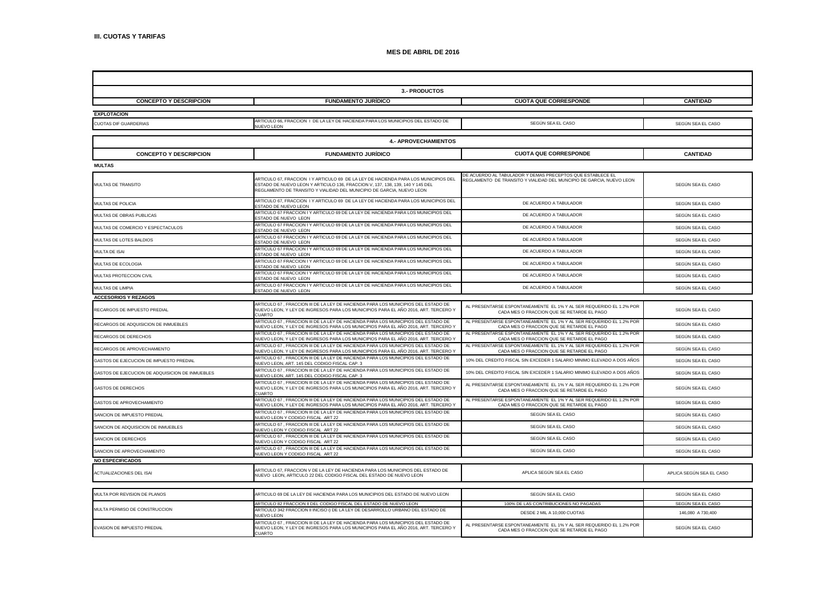| 3.- PRODUCTOS                                   |                                                                                                                                                                                                                                               |                                                                                                                                    |                          |  |  |
|-------------------------------------------------|-----------------------------------------------------------------------------------------------------------------------------------------------------------------------------------------------------------------------------------------------|------------------------------------------------------------------------------------------------------------------------------------|--------------------------|--|--|
| <b>CONCEPTO Y DESCRIPCION</b>                   | <b>FUNDAMENTO JURIDICO</b>                                                                                                                                                                                                                    | <b>CUOTA QUE CORRESPONDE</b>                                                                                                       | <b>CANTIDAD</b>          |  |  |
| <b>EXPLOTACION</b>                              |                                                                                                                                                                                                                                               |                                                                                                                                    |                          |  |  |
| CUOTAS DIF GUARDERIAS                           | ARTICULO 66, FRACCION I DE LA LEY DE HACIENDA PARA LOS MUNICIPIOS DEL ESTADO DE<br><b>NUEVO LEON</b>                                                                                                                                          | SEGÚN SEA EL CASO                                                                                                                  | SEGÚN SEA EL CASO        |  |  |
| <b>4.- APROVECHAMIENTOS</b>                     |                                                                                                                                                                                                                                               |                                                                                                                                    |                          |  |  |
| <b>CONCEPTO Y DESCRIPCION</b>                   | <b>FUNDAMENTO JURÍDICO</b>                                                                                                                                                                                                                    | <b>CUOTA QUE CORRESPONDE</b>                                                                                                       | <b>CANTIDAD</b>          |  |  |
| <b>MULTAS</b>                                   |                                                                                                                                                                                                                                               |                                                                                                                                    |                          |  |  |
| MULTAS DE TRANSITO                              | ARTICULO 67, FRACCION I Y ARTICULO 69 DE LA LEY DE HACIENDA PARA LOS MUNICIPIOS DEL<br>ESTADO DE NUEVO LEON Y ARTICULO 136, FRACCION V, 137, 138, 139, 140 Y 145 DEL<br>REGLAMENTO DE TRANSITO Y VIALIDAD DEL MUNICIPIO DE GARCIA, NUEVO LEON | DE ACUERDO AL TABULADOR Y DEMAS PRECEPTOS QUE ESTABLECE EL<br>REGLAMENTO DE TRANSITO Y VIALIDAD DEL MUNCIPIO DE GARCIA, NUEVO LEON | SEGÚN SEA EL CASO        |  |  |
| MULTAS DE POLICIA                               | ARTICULO 67, FRACCION I Y ARTICULO 69 DE LA LEY DE HACIENDA PARA LOS MUNICIPIOS DEL<br>STADO DE NUEVO LEON                                                                                                                                    | DE ACUERDO A TABULADOR                                                                                                             | SEGÚN SEA EL CASO        |  |  |
| MULTAS DE OBRAS PUBLICAS                        | ARTICULO 67 FRACCION I Y ARTICULO 69 DE LA LEY DE HACIENDA PARA LOS MUNICIPIOS DEL<br>STADO DE NUEVO LEON                                                                                                                                     | DE ACUERDO A TABULADOR                                                                                                             | SEGÚN SEA EL CASO        |  |  |
| MULTAS DE COMERCIO Y ESPECTACULOS               | ARTICULO 67 FRACCION I Y ARTICULO 69 DE LA LEY DE HACIENDA PARA LOS MUNICIPIOS DEL<br>STADO DE NUEVO LEON                                                                                                                                     | DE ACUERDO A TABULADOR                                                                                                             | SEGÚN SEA EL CASO        |  |  |
| MULTAS DE LOTES BALDIOS                         | ARTICULO 67 FRACCION I Y ARTICULO 69 DE LA LEY DE HACIENDA PARA LOS MUNICIPIOS DEL<br>STADO DE NUEVO LEON                                                                                                                                     | DE ACUERDO A TABULADOR                                                                                                             | SEGÚN SEA EL CASO        |  |  |
| MULTA DE ISAI                                   | ARTICULO 67 FRACCION I Y ARTICULO 69 DE LA LEY DE HACIENDA PARA LOS MUNICIPIOS DEL<br>ESTADO DE NUEVO LEON                                                                                                                                    | DE ACUERDO A TABULADOR                                                                                                             | SEGÚN SEA EL CASO        |  |  |
| MULTAS DE ECOLOGIA                              | ARTICULO 67 FRACCION I Y ARTICULO 69 DE LA LEY DE HACIENDA PARA LOS MUNICIPIOS DEL<br><b>STADO DE NUEVO LEON</b>                                                                                                                              | DE ACUERDO A TABULADOR                                                                                                             | SEGÚN SEA EL CASO        |  |  |
| MULTAS PROTECCION CIVIL                         | ARTICULO 67 FRACCION I Y ARTICULO 69 DE LA LEY DE HACIENDA PARA LOS MUNICIPIOS DEL<br><b>ESTADO DE NUEVO LEON</b>                                                                                                                             | DE ACUERDO A TABULADOR                                                                                                             | SEGUN SEA EL CASO        |  |  |
| MULTAS DE LIMPIA                                | ARTICULO 67 FRACCION I Y ARTICULO 69 DE LA LEY DE HACIENDA PARA LOS MUNICIPIOS DEL<br><b>STADO DE NUEVO LEON</b>                                                                                                                              | DE ACUERDO A TABULADOR                                                                                                             | SEGÚN SEA EL CASO        |  |  |
| <b>ACCESORIOS Y REZAGOS</b>                     |                                                                                                                                                                                                                                               |                                                                                                                                    |                          |  |  |
| RECARGOS DE IMPUESTO PREDIAL                    | ARTICULO 67 . FRACCION III DE LA LEY DE HACIENDA PARA LOS MUNICIPIOS DEL ESTADO DE<br>NUEVO LEON, Y LEY DE INGRESOS PARA LOS MUNICIPIOS PARA EL AÑO 2016, ART. TERCERO Y<br>CUARTO                                                            | AL PRESENTARSE ESPONTANEAMENTE EL 1% Y AL SER REQUERIDO EL 1.2% POR<br>CADA MES O FRACCION QUE SE RETARDE EL PAGO                  | SEGÚN SEA EL CASO        |  |  |
| RECARGOS DE ADQUISICION DE INMUEBLES            | ARTICULO 67, FRACCION III DE LA LEY DE HACIENDA PARA LOS MUNICIPIOS DEL ESTADO DE<br>NUEVO LEON, Y LEY DE INGRESOS PARA LOS MUNICIPIOS PARA EL AÑO 2016, ART. TERCERO Y                                                                       | AL PRESENTARSE ESPONTANEAMENTE EL 1% Y AL SER REQUERIDO EL 1.2% POR<br>CADA MES O FRACCION QUE SE RETARDE EL PAGO                  | SEGUN SEA EL CASO        |  |  |
| RECARGOS DE DERECHOS                            | ARTICULO 67 , FRACCION III DE LA LEY DE HACIENDA PARA LOS MUNICIPIOS DEL ESTADO DE<br>NUEVO LEON, Y LEY DE INGRESOS PARA LOS MUNICIPIOS PARA EL AÑO 2016, ART. TERCERO Y                                                                      | AL PRESENTARSE ESPONTANEAMENTE EL 1% Y AL SER REQUERIDO EL 1.2% POR<br>CADA MES O FRACCION QUE SE RETARDE EL PAGO                  | SEGÚN SEA EL CASO        |  |  |
| RECARGOS DE APROVECHAMIENTO                     | ARTICULO 67 , FRACCION III DE LA LEY DE HACIENDA PARA LOS MUNICIPIOS DEL ESTADO DE<br>NUEVO LEON, Y LEY DE INGRESOS PARA LOS MUNICIPIOS PARA EL AÑO 2016, ART. TERCERO Y                                                                      | AL PRESENTARSE ESPONTANEAMENTE EL 1% Y AL SER REQUERIDO EL 1.2% POR<br>CADA MES O FRACCION QUE SE RETARDE EL PAGO                  | SEGÚN SEA EL CASO        |  |  |
| GASTOS DE EJECUCION DE IMPUESTO PREDIAL         | ARTICULO 67 , FRACCION III DE LA LEY DE HACIENDA PARA LOS MUNICIPIOS DEL ESTADO DE<br>NUEVO LEON, ART. 145 DEL CODIGO FISCAL CAP. 3                                                                                                           | 10% DEL CREDITO FISCAL SIN EXCEDER 1 SALARIO MINIMO ELEVADO A DOS AÑOS                                                             | SEGÚN SEA EL CASO        |  |  |
| GASTOS DE EJECUCION DE ADQUISICION DE INMUEBLES | ARTICULO 67, FRACCION III DE LA LEY DE HACIENDA PARA LOS MUNICIPIOS DEL ESTADO DE<br>NUEVO LEON, ART. 145 DEL CODIGO FISCAL CAP. 3                                                                                                            | 10% DEL CREDITO FISCAL SIN EXCEDER 1 SALARIO MINIMO ELEVADO A DOS AÑOS                                                             | SEGÚN SEA EL CASO        |  |  |
| <b>GASTOS DE DERECHOS</b>                       | ARTICULO 67 . FRACCION III DE LA LEY DE HACIENDA PARA LOS MUNICIPIOS DEL ESTADO DE<br>NUEVO LEON, Y LEY DE INGRESOS PARA LOS MUNICIPIOS PARA EL AÑO 2016, ART. TERCERO Y<br>CUARTO                                                            | AL PRESENTARSE ESPONTANEAMENTE EL 1% Y AL SER REQUERIDO EL 1.2% POR<br>CADA MES O FRACCION QUE SE RETARDE EL PAGO                  | SEGÚN SEA EL CASO        |  |  |
| GASTOS DE APROVECHAMIENTO                       | ARTICULO 67 . FRACCION III DE LA LEY DE HACIENDA PARA LOS MUNICIPIOS DEL ESTADO DE<br>VUEVO LEON, Y LEY DE INGRESOS PARA LOS MUNICIPIOS PARA EL AÑO 2016, ART. TERCERO Y                                                                      | AL PRESENTARSE ESPONTANEAMENTE EL 1% Y AL SER REQUERIDO EL 1.2% POR<br>CADA MES O FRACCION QUE SE RETARDE EL PAGO                  | SEGÚN SEA EL CASO        |  |  |
| SANCION DE IMPUESTO PREDIAL                     | ARTICULO 67 , FRACCION III DE LA LEY DE HACIENDA PARA LOS MUNICIPIOS DEL ESTADO DE<br>NUEVO LEON Y CODIGO FISCAL ART 22                                                                                                                       | SEGÚN SEA EL CASO                                                                                                                  | SEGÚN SEA EL CASO        |  |  |
| SANCION DE ADQUISICION DE INMUEBLES             | ARTICULO 67, FRACCION III DE LA LEY DE HACIENDA PARA LOS MUNICIPIOS DEL ESTADO DE<br>NUEVO LEON Y CODIGO FISCAL ART 22                                                                                                                        | SEGÚN SEA EL CASO                                                                                                                  | SEGÚN SEA EL CASO        |  |  |
| SANCION DE DERECHOS                             | ARTICULO 67 , FRACCION III DE LA LEY DE HACIENDA PARA LOS MUNICIPIOS DEL ESTADO DE<br><b>NUEVO LEON Y CODIGO FISCAL ART 22</b>                                                                                                                | SEGÚN SEA EL CASO                                                                                                                  | SEGÚN SEA EL CASO        |  |  |
| SANCION DE APROVECHAMIENTO                      | ARTICULO 67, FRACCION III DE LA LEY DE HACIENDA PARA LOS MUNICIPIOS DEL ESTADO DE<br>NUEVO LEON Y CODIGO FISCAL ART 22                                                                                                                        | SEGÚN SEA EL CASO                                                                                                                  | SEGÚN SEA EL CASO        |  |  |
| <b>NO ESPECIFICADOS</b>                         |                                                                                                                                                                                                                                               |                                                                                                                                    |                          |  |  |
| ACTUALIZACIONES DEL ISAI                        | ARTICULO 67, FRACCION V DE LA LEY DE HACIENDA PARA LOS MUNICIPIOS DEL ESTADO DE<br>NUEVO LEON, ARTICULO 22 DEL CODIGO FISCAL DEL ESTADO DE NUEVO LEON                                                                                         | APLICA SEGÚN SEA EL CASO                                                                                                           | APLICA SEGÚN SEA EL CASO |  |  |
| MULTA POR REVISION DE PLANOS                    | ARTICULO 69 DE LA LEY DE HACIENDA PARA LOS MUNICIPIOS DEL ESTADO DE NUEVO LEON                                                                                                                                                                | SEGUN SEA EL CASO                                                                                                                  | SEGÚN SEA EL CASO        |  |  |
|                                                 | ARTICULO 82 FRACCION II DEL CODIGO FISCAL DEL ESTADO DE NUEVO LEON                                                                                                                                                                            | 100% DE LAS CONTRIBUCIONES NO PAGADAS                                                                                              | SEGÚN SEA EL CASO        |  |  |
| MULTA PERMISO DE CONSTRUCCION                   | ARTICULO 342 FRACCION II INCISO i) DE LA LEY DE DESARROLLO URBANO DEL ESTADO DE<br><b>NUFVO LEON</b>                                                                                                                                          | DESDE 2 MIL A 10,000 CUOTAS                                                                                                        | 146,080 A 730,400        |  |  |
| EVASION DE IMPUESTO PREDIAL                     | ARTICULO 67 , FRACCION III DE LA LEY DE HACIENDA PARA LOS MUNICIPIOS DEL ESTADO DE<br>NUEVO LEON, Y LEY DE INGRESOS PARA LOS MUNICIPIOS PARA EL AÑO 2016, ART. TERCERO Y<br><b>CUARTO</b>                                                     | AL PRESENTARSE ESPONTANEAMENTE EL 1% Y AL SER REQUERIDO EL 1.2% POR<br>CADA MES O FRACCION QUE SE RETARDE EL PAGO                  | SEGÚN SEA EL CASO        |  |  |